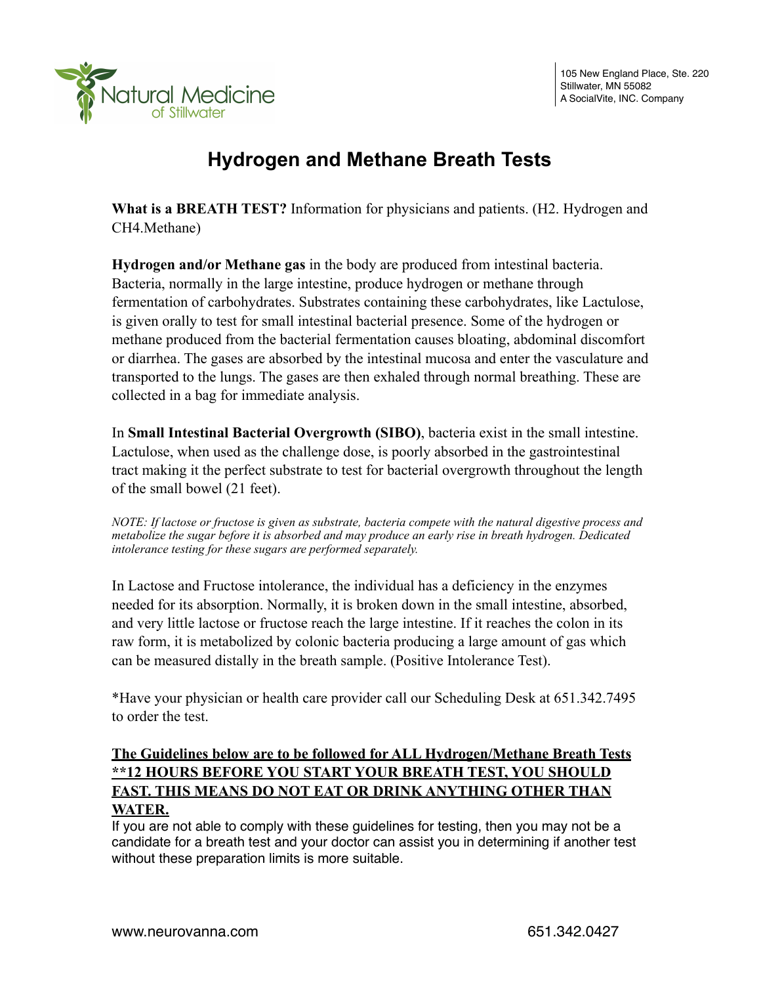

# **Hydrogen and Methane Breath Tests**

**What is a BREATH TEST?** Information for physicians and patients. (H2. Hydrogen and CH4.Methane)

**Hydrogen and/or Methane gas** in the body are produced from intestinal bacteria. Bacteria, normally in the large intestine, produce hydrogen or methane through fermentation of carbohydrates. Substrates containing these carbohydrates, like Lactulose, is given orally to test for small intestinal bacterial presence. Some of the hydrogen or methane produced from the bacterial fermentation causes bloating, abdominal discomfort or diarrhea. The gases are absorbed by the intestinal mucosa and enter the vasculature and transported to the lungs. The gases are then exhaled through normal breathing. These are collected in a bag for immediate analysis.

In **Small Intestinal Bacterial Overgrowth (SIBO)**, bacteria exist in the small intestine. Lactulose, when used as the challenge dose, is poorly absorbed in the gastrointestinal tract making it the perfect substrate to test for bacterial overgrowth throughout the length of the small bowel (21 feet).

*NOTE: If lactose or fructose is given as substrate, bacteria compete with the natural digestive process and metabolize the sugar before it is absorbed and may produce an early rise in breath hydrogen. Dedicated intolerance testing for these sugars are performed separately.*

In Lactose and Fructose intolerance, the individual has a deficiency in the enzymes needed for its absorption. Normally, it is broken down in the small intestine, absorbed, and very little lactose or fructose reach the large intestine. If it reaches the colon in its raw form, it is metabolized by colonic bacteria producing a large amount of gas which can be measured distally in the breath sample. (Positive Intolerance Test).

\*Have your physician or health care provider call our Scheduling Desk at 651.342.7495 to order the test.

## **The Guidelines below are to be followed for ALL Hydrogen/Methane Breath Tests \*\*12 HOURS BEFORE YOU START YOUR BREATH TEST, YOU SHOULD FAST. THIS MEANS DO NOT EAT OR DRINK ANYTHING OTHER THAN WATER.**

If you are not able to comply with these guidelines for testing, then you may not be a candidate for a breath test and your doctor can assist you in determining if another test without these preparation limits is more suitable.